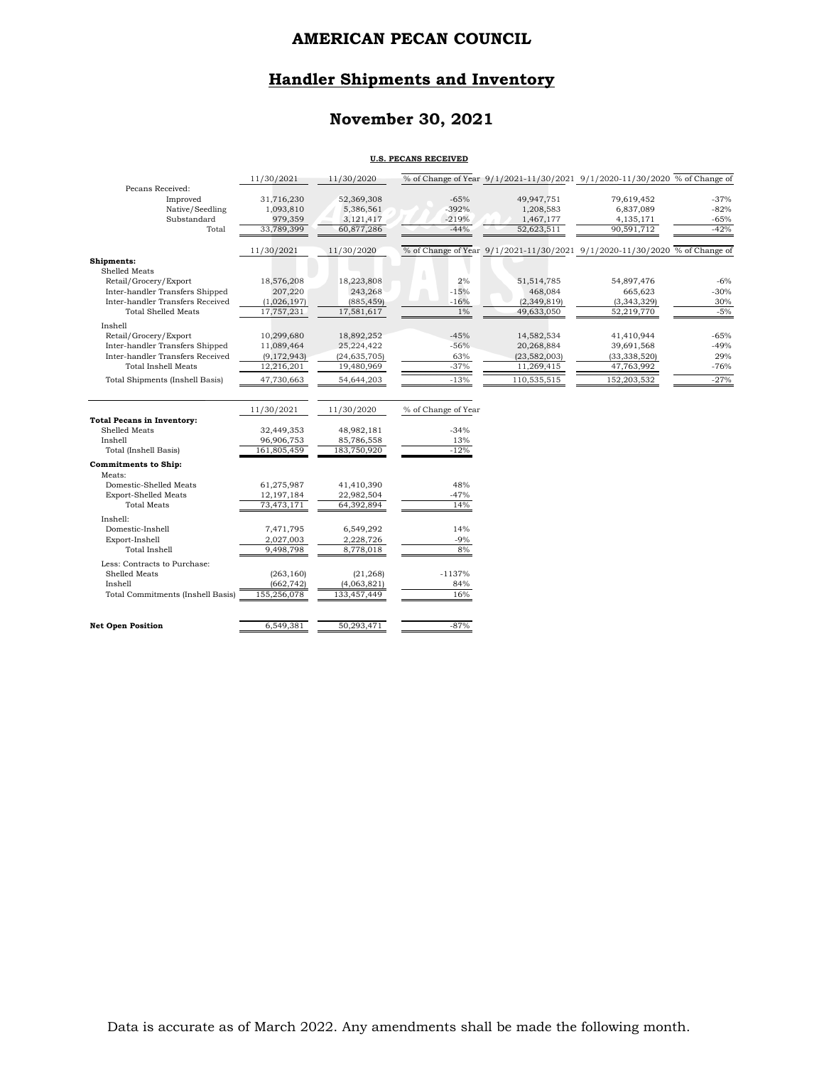### **Handler Shipments and Inventory**

## **November 30, 2021**

#### **U.S. PECANS RECEIVED**

|                                        | 11/30/2021            | 11/30/2020                |                     |                         | % of Change of Year 9/1/2021-11/30/2021 9/1/2020-11/30/2020 % of Change of |                  |
|----------------------------------------|-----------------------|---------------------------|---------------------|-------------------------|----------------------------------------------------------------------------|------------------|
| Pecans Received:                       |                       |                           |                     |                         |                                                                            |                  |
| Improved                               | 31,716,230            | 52,369,308                | $-65%$              | 49,947,751              | 79,619,452                                                                 | $-37%$           |
| Native/Seedling                        | 1,093,810             | 5,386,561                 | $-392%$             | 1,208,583               | 6,837,089                                                                  | $-82%$           |
| Substandard<br>Total                   | 979,359<br>33,789,399 | 3, 121, 417<br>60,877,286 | $-219%$<br>$-44%$   | 1,467,177<br>52,623,511 | 4,135,171<br>90,591,712                                                    | $-65%$<br>$-42%$ |
|                                        |                       |                           |                     |                         |                                                                            |                  |
|                                        | 11/30/2021            | 11/30/2020                |                     |                         | % of Change of Year 9/1/2021-11/30/2021 9/1/2020-11/30/2020 % of Change of |                  |
| Shipments:                             |                       |                           |                     |                         |                                                                            |                  |
| Shelled Meats                          |                       |                           |                     |                         |                                                                            |                  |
| Retail/Grocery/Export                  | 18,576,208            | 18,223,808                | 2%                  | 51, 514, 785            | 54,897,476                                                                 | $-6%$            |
| Inter-handler Transfers Shipped        | 207,220               | 243,268                   | $-15%$              | 468,084                 | 665,623                                                                    | $-30%$           |
| Inter-handler Transfers Received       | (1,026,197)           | (885, 459)                | $-16%$              | (2, 349, 819)           | (3,343,329)                                                                | 30%              |
| <b>Total Shelled Meats</b>             | 17,757,231            | 17,581,617                | $1\%$               | 49,633,050              | 52,219,770                                                                 | $-5%$            |
| Inshell                                |                       |                           |                     |                         |                                                                            |                  |
| Retail/Grocery/Export                  | 10,299,680            | 18,892,252                | $-45%$              | 14,582,534              | 41,410,944                                                                 | $-65%$           |
| Inter-handler Transfers Shipped        | 11,089,464            | 25,224,422                | $-56%$              | 20,268,884              | 39,691,568                                                                 | $-49%$           |
| Inter-handler Transfers Received       | (9, 172, 943)         | (24, 635, 705)            | 63%                 | (23,582,003)            | (33, 338, 520)                                                             | 29%              |
| <b>Total Inshell Meats</b>             | 12,216,201            | 19,480,969                | $-37%$              | 11,269,415              | 47,763,992                                                                 | $-76%$           |
| <b>Total Shipments (Inshell Basis)</b> | 47,730,663            | 54,644,203                | $-13%$              | 110,535,515             | 152,203,532                                                                | $-27%$           |
|                                        |                       |                           |                     |                         |                                                                            |                  |
|                                        | 11/30/2021            | 11/30/2020                | % of Change of Year |                         |                                                                            |                  |
| <b>Total Pecans in Inventory:</b>      |                       |                           |                     |                         |                                                                            |                  |
| Shelled Meats                          | 32,449,353            | 48,982,181                | $-34%$              |                         |                                                                            |                  |
| Inshell                                | 96,906,753            | 85,786,558                | 13%                 |                         |                                                                            |                  |
| Total (Inshell Basis)                  | 161,805,459           | 183,750,920               | $-12%$              |                         |                                                                            |                  |
| <b>Commitments to Ship:</b>            |                       |                           |                     |                         |                                                                            |                  |
| Meats:                                 |                       |                           |                     |                         |                                                                            |                  |
| Domestic-Shelled Meats                 | 61,275,987            | 41,410,390                | 48%                 |                         |                                                                            |                  |
| <b>Export-Shelled Meats</b>            | 12,197,184            | 22,982,504                | $-47%$              |                         |                                                                            |                  |
| <b>Total Meats</b>                     | 73,473,171            | 64,392,894                | 14%                 |                         |                                                                            |                  |
| Inshell:                               |                       |                           |                     |                         |                                                                            |                  |
| Domestic-Inshell                       | 7,471,795             | 6,549,292                 | 14%                 |                         |                                                                            |                  |
| Export-Inshell                         | 2,027,003             | 2,228,726                 | $-9%$               |                         |                                                                            |                  |
| <b>Total Inshell</b>                   | 9,498,798             | 8,778,018                 | 8%                  |                         |                                                                            |                  |
| Less: Contracts to Purchase:           |                       |                           |                     |                         |                                                                            |                  |
| Shelled Meats                          | (263, 160)            | (21, 268)                 | $-1137%$            |                         |                                                                            |                  |
| Inshell                                | (662, 742)            | (4,063,821)               | 84%                 |                         |                                                                            |                  |
| Total Commitments (Inshell Basis)      | 155,256,078           | 133,457,449               | 16%                 |                         |                                                                            |                  |
|                                        |                       |                           |                     |                         |                                                                            |                  |
| <b>Net Open Position</b>               | 6,549,381             | 50,293,471                | $-87%$              |                         |                                                                            |                  |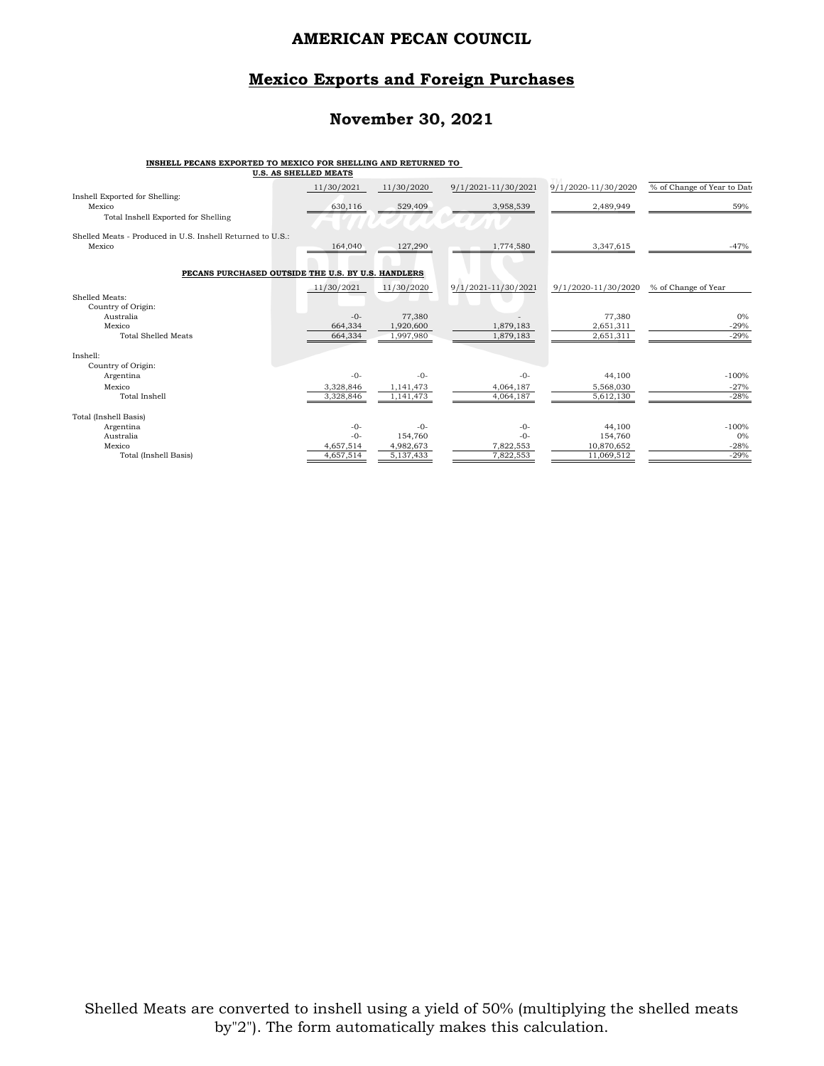#### **Mexico Exports and Foreign Purchases**

#### **November 30, 2021**

#### **INSHELL PECANS EXPORTED TO MEXICO FOR SHELLING AND RETURNED TO**

| U.S. AS SHELLED MEATS                                      |               |            |                     |                     |                             |
|------------------------------------------------------------|---------------|------------|---------------------|---------------------|-----------------------------|
|                                                            | 11/30/2021    | 11/30/2020 | 9/1/2021-11/30/2021 | 9/1/2020-11/30/2020 | % of Change of Year to Date |
| Inshell Exported for Shelling:<br>Mexico                   | 630,116       | 529,409    | 3,958,539           | 2,489,949           | 59%                         |
| Total Inshell Exported for Shelling                        |               |            |                     |                     |                             |
|                                                            |               |            |                     |                     |                             |
| Shelled Meats - Produced in U.S. Inshell Returned to U.S.: |               |            |                     |                     |                             |
| Mexico                                                     | 164,040       | 127,290    | 1,774,580           | 3,347,615           | $-47%$                      |
|                                                            |               |            |                     |                     |                             |
| PECANS PURCHASED OUTSIDE THE U.S. BY U.S. HANDLERS         |               |            |                     |                     |                             |
|                                                            | $-11/30/2021$ | 11/30/2020 | 9/1/2021-11/30/2021 | 9/1/2020-11/30/2020 | % of Change of Year         |
| Shelled Meats:                                             |               |            |                     |                     |                             |
| Country of Origin:                                         |               |            |                     |                     |                             |
| Australia                                                  | $-0-$         | 77,380     |                     | 77,380              | 0%                          |
| Mexico                                                     | 664,334       | 1,920,600  | 1,879,183           | 2.651.311           | $-29%$                      |
| <b>Total Shelled Meats</b>                                 | 664,334       | 1,997,980  | 1,879,183           | 2,651,311           | $-29%$                      |
|                                                            |               |            |                     |                     |                             |
| Inshell:                                                   |               |            |                     |                     |                             |
| Country of Origin:                                         |               |            |                     |                     |                             |
| Argentina                                                  | $-0-$         | $-0-$      | $-0-$               | 44,100              | $-100%$                     |
| Mexico                                                     | 3.328.846     | 1,141,473  | 4,064,187           | 5.568.030           | $-27%$                      |
| Total Inshell                                              | 3,328,846     | 1,141,473  | 4,064,187           | 5,612,130           | $-28%$                      |
| Total (Inshell Basis)                                      |               |            |                     |                     |                             |
| Argentina                                                  | $-0-$         | $-0-$      | $-0-$               | 44,100              | $-100%$                     |
| Australia                                                  | $-0-$         | 154,760    | $-0-$               | 154,760             | 0%                          |
| Mexico                                                     | 4,657,514     | 4,982,673  | 7,822,553           | 10,870,652          | $-28%$                      |
| Total (Inshell Basis)                                      | 4,657,514     | 5,137,433  | 7,822,553           | 11,069,512          | $-29%$                      |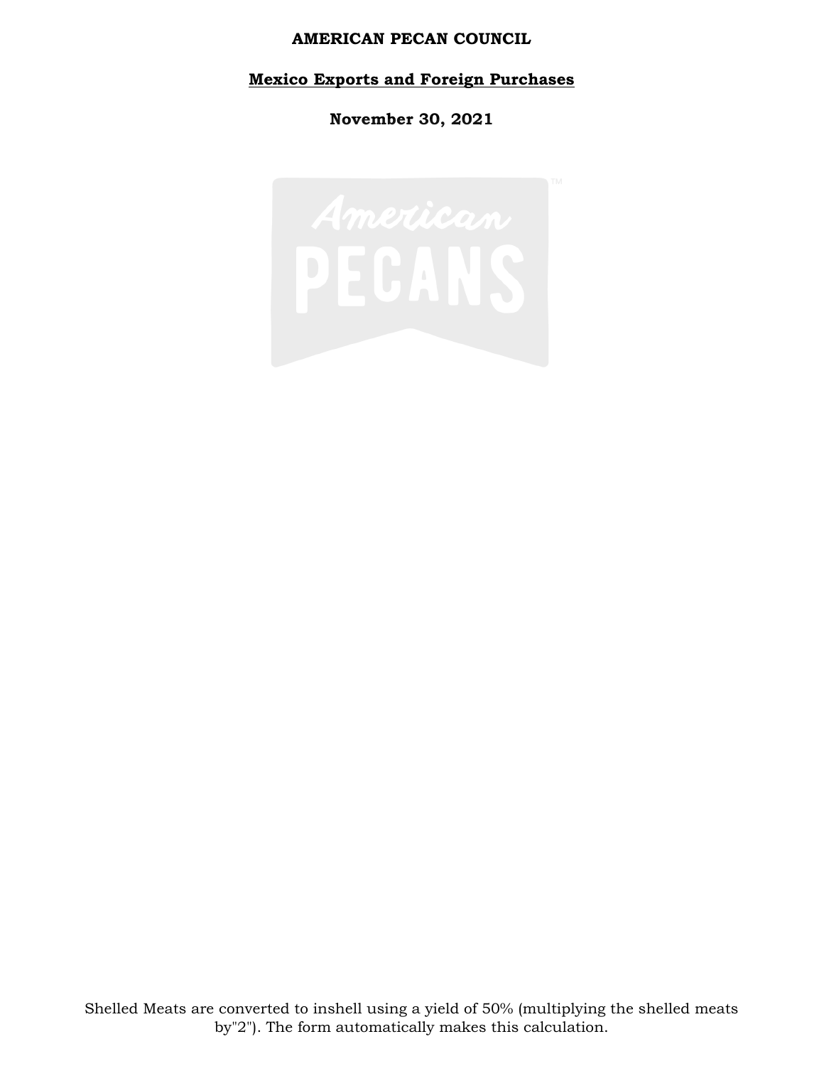### **Mexico Exports and Foreign Purchases**

**November 30, 2021**

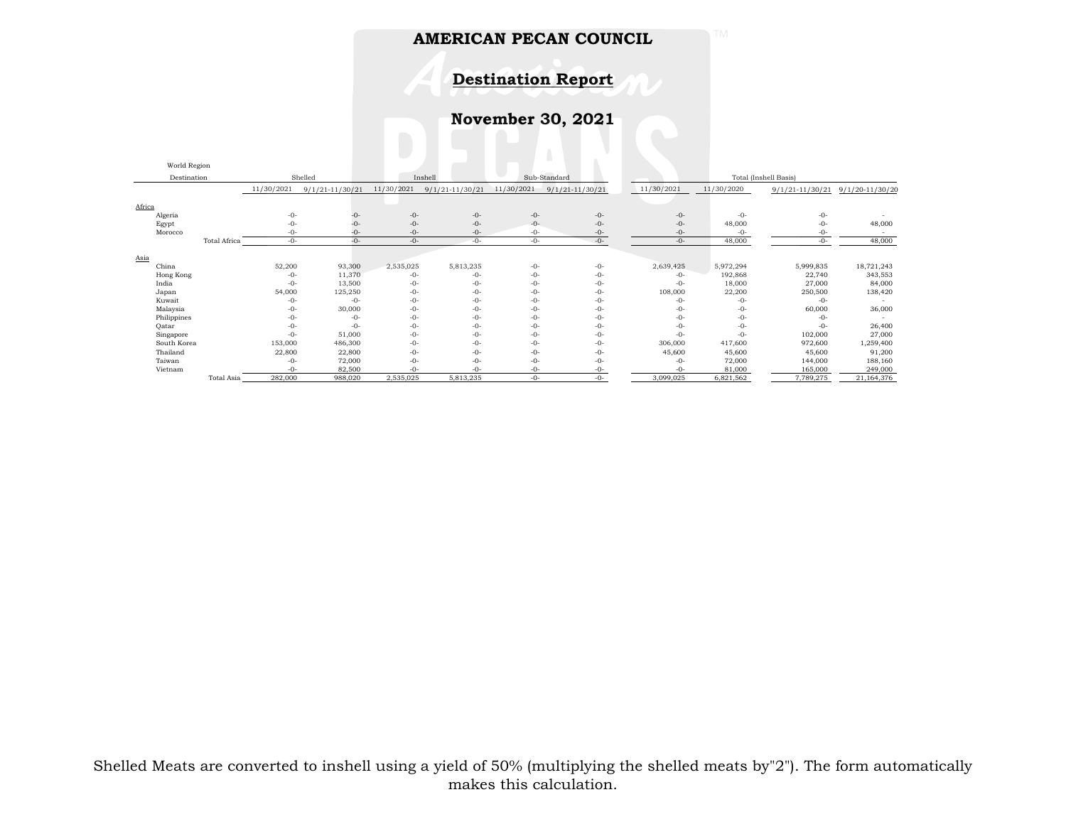**Destination Report**

**November 30, 2021**

|             | World Region |                     |            |                   |            |                     |            |                     |                       |                   |                     |                 |
|-------------|--------------|---------------------|------------|-------------------|------------|---------------------|------------|---------------------|-----------------------|-------------------|---------------------|-----------------|
| Destination |              | Shelled             |            |                   | Inshell    | Sub-Standard        |            |                     | Total (Inshell Basis) |                   |                     |                 |
|             |              |                     | 11/30/2021 | $9/1/21-11/30/21$ | 11/30/2021 | $9/1/21 - 11/30/21$ | 11/30/2021 | $9/1/21 - 11/30/21$ | 11/30/2021            | 11/30/2020        | $9/1/21 - 11/30/21$ | 9/1/20-11/30/20 |
|             |              |                     |            |                   |            |                     |            |                     |                       |                   |                     |                 |
| Africa      | Algeria      |                     | $-0-$      | -0-               | $-0-$      | $-0-$               | $-0-$      | $-0-$               |                       | $-0-$<br>$-0-$    | $-0-$               |                 |
|             | Egypt        |                     | $-0-$      | -0-               | $-0-$      | $-0-$               | $-0-$      | $-0-$               |                       | $-0-$<br>48,000   | $-0-$               | 48,000          |
|             | Morocco      |                     | $-0-$      | -0-               | $-0-$      | $-0-$               | $-0-$      | $-0-$               |                       | $-0-$<br>$-0-$    | $-0-$               |                 |
|             |              | <b>Total Africa</b> | $-0-$      | $-0-$             | $-0-$      | $-0-$               | $-0-$      | $-0-$               |                       | 48,000<br>$-0-$   | $-0-$               | 48,000          |
|             |              |                     |            |                   |            |                     |            |                     |                       |                   |                     |                 |
| Asia        | China        |                     | 52,200     | 93,300            | 2,535,025  | 5,813,235           | $-0-$      | $-0-$               | 2,639,425             | 5,972,294         | 5,999,835           | 18,721,243      |
|             |              |                     | -0-        | 11,370            | $-0-$      | -0-                 | $-0-$      | $-0-$               |                       | 192,868<br>$-0-$  | 22,740              | 343,553         |
|             | Hong Kong    |                     | $-0-$      | 13,500            | $-0-$      | $-0-$               | $-0-$      | $-0-$               |                       | 18,000<br>$-0-$   | 27,000              | 84,000          |
|             | India        |                     |            |                   |            |                     |            |                     |                       |                   |                     |                 |
|             | Japan        |                     | 54,000     | 125,250           | $-0-$      | $-0-$               | $-0-$      | $-0-$               | 108,000               | 22,200            | 250,500             | 138,420         |
|             | Kuwait       |                     | -0-        | $-0-$             | $-0-$      | $-0-$               | $-0-$      | $-0-$               |                       | $-0-$<br>$-0-$    | $-0-$               |                 |
|             | Malaysia     |                     | -0-        | 30,000            | $-0-$      | $-0-$               | $-0-$      | $-0-$               |                       | $-0-$<br>$-()$ -  | 60,000              | 36,000          |
|             | Philippines  |                     | $-0-$      | $-()$ -           | $-0-$      | $-0-$               | $-0-$      | $-0-$               |                       | $-0-$<br>$-()$ -  | $-0-$               |                 |
|             | Oatar        |                     | $-0-$      | $-0-$             | $-0-$      | $-0-$               | $-0-$      | $-0-$               |                       | $-0-$<br>$-0-$    | $-0-$               | 26,400          |
|             | Singapore    |                     | $-0-$      | 51,000            | $-0-$      | $-0-$               | $-0-$      | $-0-$               |                       | $-0-$<br>$-0-$    | 102,000             | 27,000          |
|             | South Korea  |                     | 153,000    | 486,300           | $-0-$      | $-0-$               | $-0-$      | $-0-$               | 306,000               | 417,600           | 972,600             | 1,259,400       |
|             | Thailand     |                     | 22,800     | 22,800            | $-0-$      | $-0-$               | $-0-$      | $-0-$               | 45,600                | 45,600            | 45,600              | 91,200          |
|             | Taiwan       |                     | $-0-$      | 72,000            | $-0-$      | $-0-$               | $-0-$      | $-0-$               |                       | $-0-$<br>72,000   | 144,000             | 188,160         |
|             | Vietnam      |                     | $-0-$      | 82,500            | $-0-$      | $-0-$               | $-0-$      | -0-                 |                       | $-()$ -<br>81,000 | 165,000             | 249,000         |
|             |              | Total Asia          | 282,000    | 988,020           | 2,535,025  | 5,813,235           | -0-        | $-()$ -             | 3,099,025             | 6,821,562         | 7,789,275           | 21,164,376      |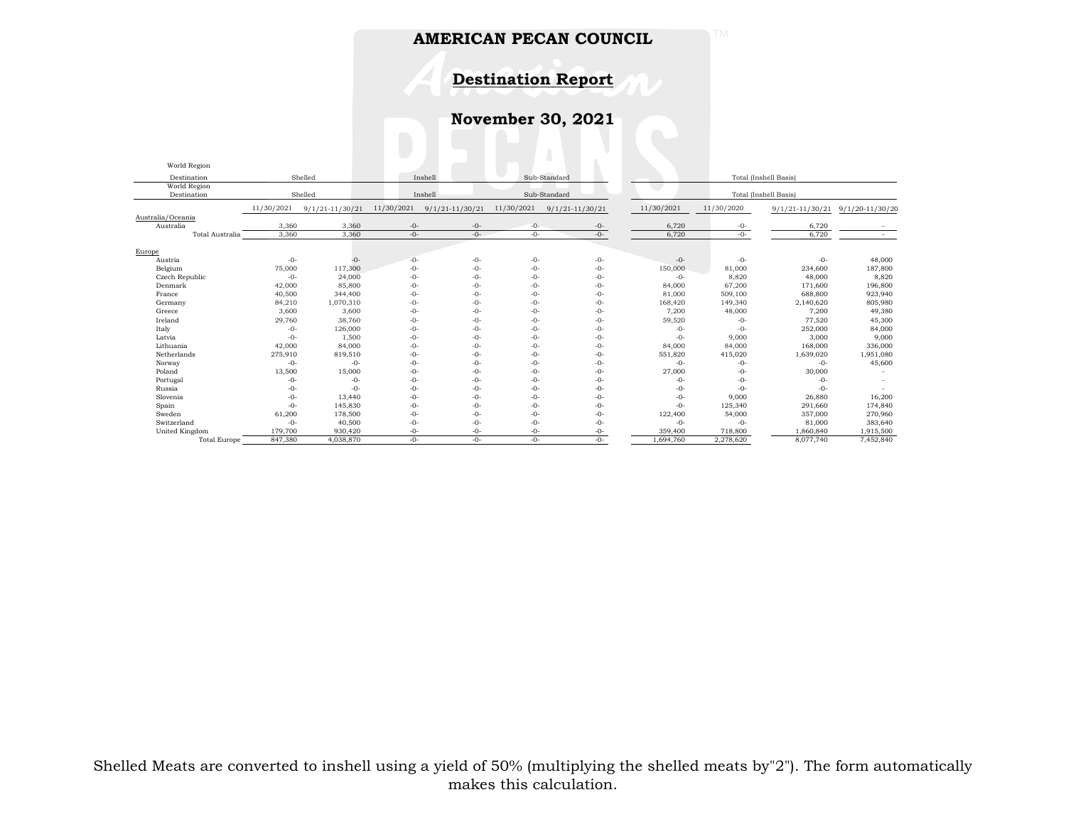**Destination Report**

**November 30, 2021**

| World Region        |                                    |                     |            |                     |                       |                     |            |                       |                     |                     |  |  |
|---------------------|------------------------------------|---------------------|------------|---------------------|-----------------------|---------------------|------------|-----------------------|---------------------|---------------------|--|--|
| Destination         | Sub-Standard<br>Shelled<br>Inshell |                     |            |                     | Total (Inshell Basis) |                     |            |                       |                     |                     |  |  |
| World Region        |                                    |                     |            |                     |                       |                     |            |                       |                     |                     |  |  |
| Destination         |                                    | Shelled             | Inshell    |                     |                       | Sub-Standard        |            | Total (Inshell Basis) |                     |                     |  |  |
|                     | 11/30/2021                         | $9/1/21 - 11/30/21$ | 11/30/2021 | $9/1/21 - 11/30/21$ | 11/30/2021            | $9/1/21 - 11/30/21$ | 11/30/2021 | 11/30/2020            | $9/1/21 - 11/30/21$ | $9/1/20 - 11/30/20$ |  |  |
| Australia/Oceania   |                                    |                     |            |                     |                       |                     |            |                       |                     |                     |  |  |
| Australia           | 3,360                              | 3,360               | $-0-$      | $-0-$               | $-0-$                 | $-0-$               | 6,720      | $-0-$                 | 6,720               |                     |  |  |
| Total Australia     | 3.360                              | 3.360               | $-0-$      | $-0-$               | $-0-$                 | $-0-$               | 6.720      | $-0-$                 | 6.720               |                     |  |  |
| Europe              |                                    |                     |            |                     |                       |                     |            |                       |                     |                     |  |  |
| Austria             | $-0-$                              | $-0-$               | $-0-$      | $-0-$               | $-0-$                 | $-0-$               | $-0-$      | $-0-$                 | $-0-$               | 48,000              |  |  |
| Belgium             | 75,000                             | 117,300             | $-0-$      | $-0-$               | $-0-$                 | $-0-$               | 150,000    | 81,000                | 234,600             | 187,800             |  |  |
| Czech Republic      | $-0-$                              | 24,000              | $-0-$      | $-0-$               | $-0-$                 | $-0-$               | -0-        | 8,820                 | 48,000              | 8,820               |  |  |
| Denmark             | 42,000                             | 85,800              | $-0-$      | $-0-$               | $-0-$                 | $-0-$               | 84,000     | 67,200                | 171,600             | 196,800             |  |  |
| France              | 40,500                             | 344,400             | $-0-$      | $-0-$               | $-0-$                 | $-0-$               | 81,000     | 509,100               | 688,800             | 923,940             |  |  |
| Germany             | 84,210                             | 1,070,310           | $-0-$      | $-0-$               | $-()$ -               | $-0-$               | 168,420    | 149,340               | 2,140,620           | 805,980             |  |  |
| Greece              | 3,600                              | 3,600               | $-0-$      | $-0-$               | $-()$ -               | $-0-$               | 7,200      | 48,000                | 7,200               | 49,380              |  |  |
| Ireland             | 29,760                             | 38,760              | $-0-$      | $-0-$               | $-0-$                 | $-0-$               | 59,520     | $-0-$                 | 77,520              | 45,300              |  |  |
| Italy               | $-0-$                              | 126,000             | -0-        | $-0-$               | $-0-$                 | $-0-$               | $-0-$      | $-0-$                 | 252,000             | 84,000              |  |  |
| Latvia              | $-0-$                              | 1,500               | $-0-$      | $-0-$               | $-0-$                 | $-0-$               | $-0-$      | 9,000                 | 3,000               | 9,000               |  |  |
| Lithuania           | 42,000                             | 84,000              | $-0-$      | $-0-$               | $-0-$                 | $-0-$               | 84,000     | 84,000                | 168,000             | 336,000             |  |  |
| Netherlands         | 275,910                            | 819,510             | $-0-$      | $-0-$               | $-0-$                 | $-0-$               | 551,820    | 415,020               | 1,639,020           | 1,951,080           |  |  |
| Norway              | $-0-$                              | $-0-$               | $-0-$      | $-0-$               | $-()$ -               | $-0-$               | $-0-$      | $-0-$                 | $-()$ -             | 45,600              |  |  |
| Poland              | 13,500                             | 15,000              | $-0-$      | $-0-$               | $-0-$                 | $-0-$               | 27,000     | $-0-$                 | 30,000              |                     |  |  |
| Portugal            | $-0-$                              | $-0-$               | $-0-$      | $-0-$               | $-0-$                 | $-0-$               | $-0-$      | $-0-$                 | $-0-$               |                     |  |  |
| Russia              | $-0-$                              | $-0-$               | -0-        | $-0-$               | $-0-$                 | $-0-$               | -0-        | $-0-$                 | $-0-$               |                     |  |  |
| Slovenia            | $-0-$                              | 13,440              | $-0-$      | $-0-$               | $-0-$                 | $-0-$               | -0-        | 9,000                 | 26,880              | 16,200              |  |  |
| Spain               | $-0-$                              | 145,830             | $-0-$      | $-0-$               | $-0-$                 | $-0-$               | $-0-$      | 125,340               | 291,660             | 174,840             |  |  |
| Sweden              | 61,200                             | 178,500             | $-0-$      | $-0-$               | $-0-$                 | $-0-$               | 122,400    | 54,000                | 357,000             | 270,960             |  |  |
| Switzerland         | $-0-$                              | 40,500              | $-0-$      | $-0-$               | $-()$ -               | $-0-$               | $-0-$      | $-0-$                 | 81,000              | 383,640             |  |  |
| United Kingdom      | 179,700                            | 930,420             | $-0-$      | $-0-$               | $-0-$                 | -0-                 | 359,400    | 718,800               | 1,860,840           | 1,915,500           |  |  |
| <b>Total Europe</b> | 847,380                            | 4,038,870           | $-()$ -    | $-()$ -             | $-()$ -               | $-()$ -             | 1,694,760  | 2,278,620             | 8,077,740           | 7,452,840           |  |  |